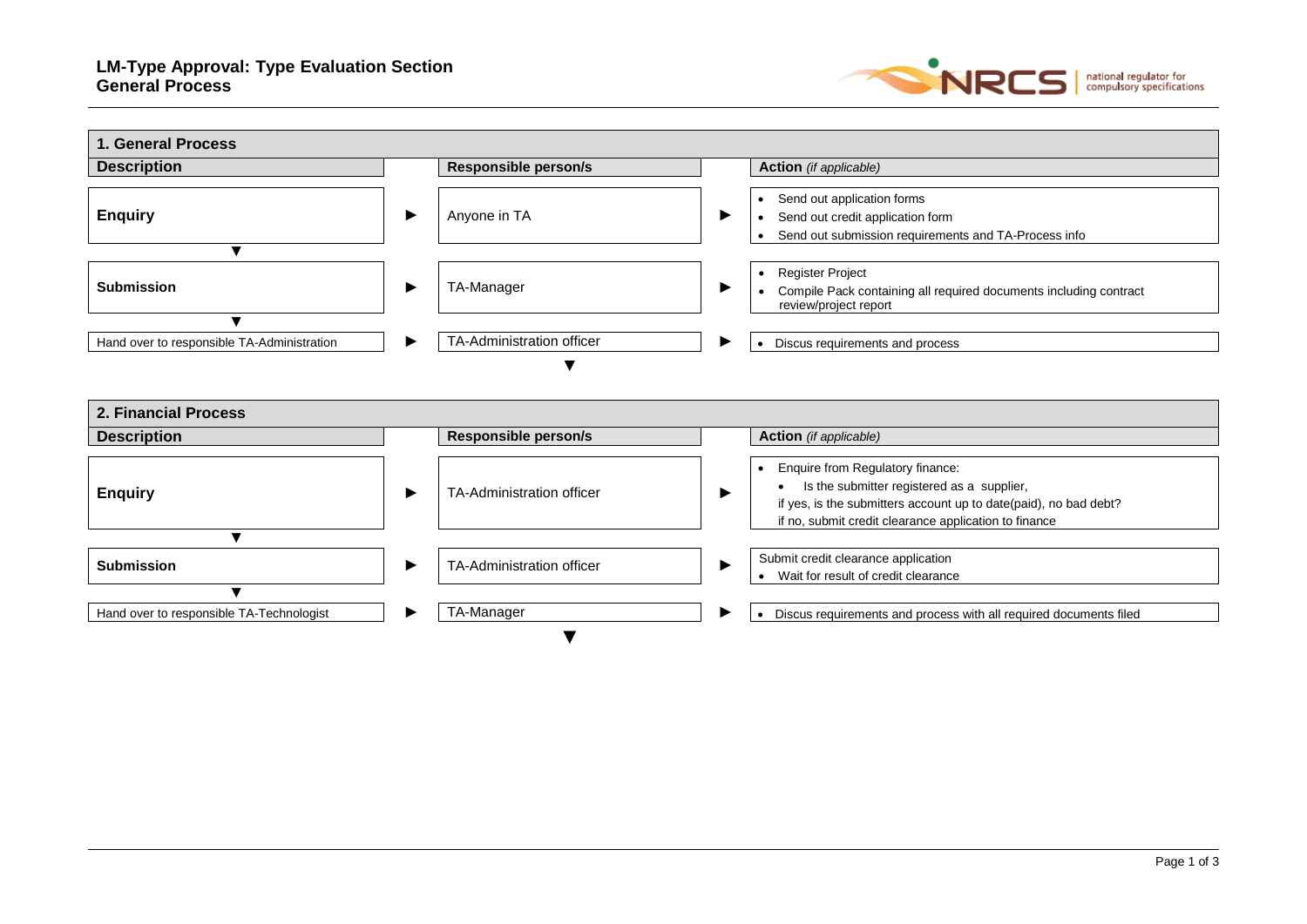

| <b>1. General Process</b>                  |   |                             |   |                                                                                                                                                                                                                          |
|--------------------------------------------|---|-----------------------------|---|--------------------------------------------------------------------------------------------------------------------------------------------------------------------------------------------------------------------------|
| <b>Description</b>                         |   | <b>Responsible person/s</b> |   | <b>Action</b> (if applicable)                                                                                                                                                                                            |
| <b>Enquiry</b>                             | ▶ | Anyone in TA                | ▶ | Send out application forms<br>$\bullet$<br>Send out credit application form<br>$\bullet$<br>Send out submission requirements and TA-Process info<br>$\bullet$                                                            |
| ▼                                          |   |                             |   |                                                                                                                                                                                                                          |
| <b>Submission</b>                          | ▶ | TA-Manager                  | ▶ | Register Project<br>$\bullet$<br>Compile Pack containing all required documents including contract<br>review/project report                                                                                              |
| $\blacksquare$                             |   |                             |   |                                                                                                                                                                                                                          |
| Hand over to responsible TA-Administration | ▶ | TA-Administration officer   |   | Discus requirements and process                                                                                                                                                                                          |
| 2. Financial Process                       |   |                             |   |                                                                                                                                                                                                                          |
| <b>Description</b>                         |   | <b>Responsible person/s</b> |   | <b>Action</b> (if applicable)                                                                                                                                                                                            |
| <b>Enquiry</b>                             | ▶ | TA-Administration officer   | ▶ | Enquire from Regulatory finance:<br>$\bullet$<br>Is the submitter registered as a supplier,<br>if yes, is the submitters account up to date(paid), no bad debt?<br>if no, submit credit clearance application to finance |
| $\blacktriangledown$                       |   |                             |   |                                                                                                                                                                                                                          |
| <b>Submission</b>                          | ▶ | TA-Administration officer   | ▶ | Submit credit clearance application<br>Wait for result of credit clearance                                                                                                                                               |
| $\blacktriangledown$                       |   |                             |   |                                                                                                                                                                                                                          |
| Hand over to responsible TA-Technologist   | ▶ | TA-Manager                  | ▸ | • Discus requirements and process with all required documents filed                                                                                                                                                      |
|                                            |   |                             |   |                                                                                                                                                                                                                          |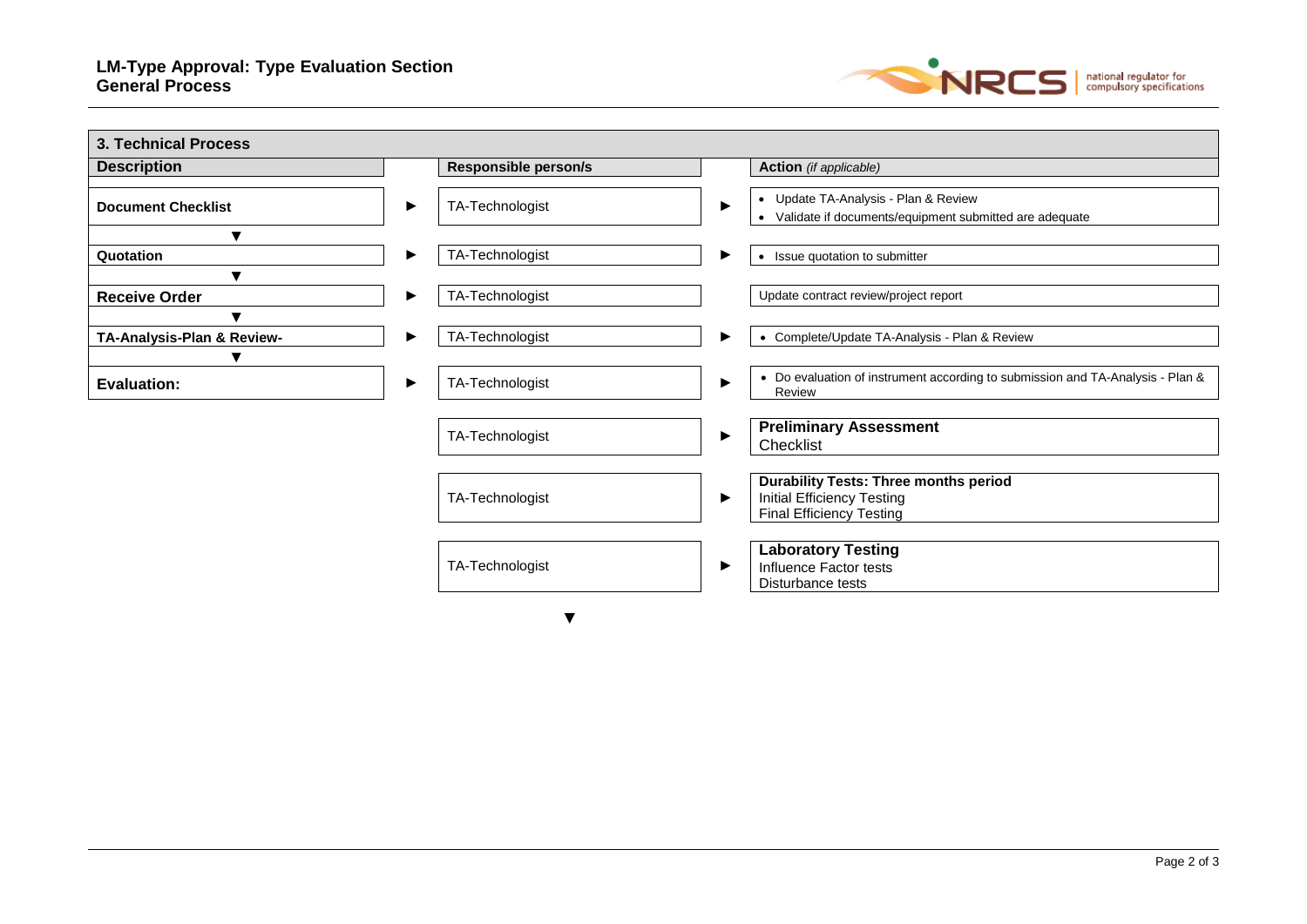

| <b>Description</b>                     |   | <b>Responsible person/s</b> |   | <b>Action</b> (if applicable)                                                                                        |
|----------------------------------------|---|-----------------------------|---|----------------------------------------------------------------------------------------------------------------------|
| <b>Document Checklist</b>              | ▶ | TA-Technologist             | ▸ | • Update TA-Analysis - Plan & Review<br>Validate if documents/equipment submitted are adequate<br>$\bullet$          |
| v<br>Quotation                         | ▶ | TA-Technologist             | ▸ | • Issue quotation to submitter                                                                                       |
| $\blacktriangledown$                   |   |                             |   |                                                                                                                      |
| <b>Receive Order</b><br>$\blacksquare$ | ▶ | TA-Technologist             |   | Update contract review/project report                                                                                |
| TA-Analysis-Plan & Review-<br>▼        | ▶ | TA-Technologist             | ▶ | Complete/Update TA-Analysis - Plan & Review<br>$\bullet$                                                             |
| <b>Evaluation:</b>                     | ▶ | TA-Technologist             | ▶ | • Do evaluation of instrument according to submission and TA-Analysis - Plan &<br>Review                             |
|                                        |   | TA-Technologist             | ▸ | <b>Preliminary Assessment</b><br>Checklist                                                                           |
|                                        |   | TA-Technologist             | ▶ | <b>Durability Tests: Three months period</b><br><b>Initial Efficiency Testing</b><br><b>Final Efficiency Testing</b> |
|                                        |   | TA-Technologist             | ▶ | <b>Laboratory Testing</b><br>Influence Factor tests<br>Disturbance tests                                             |